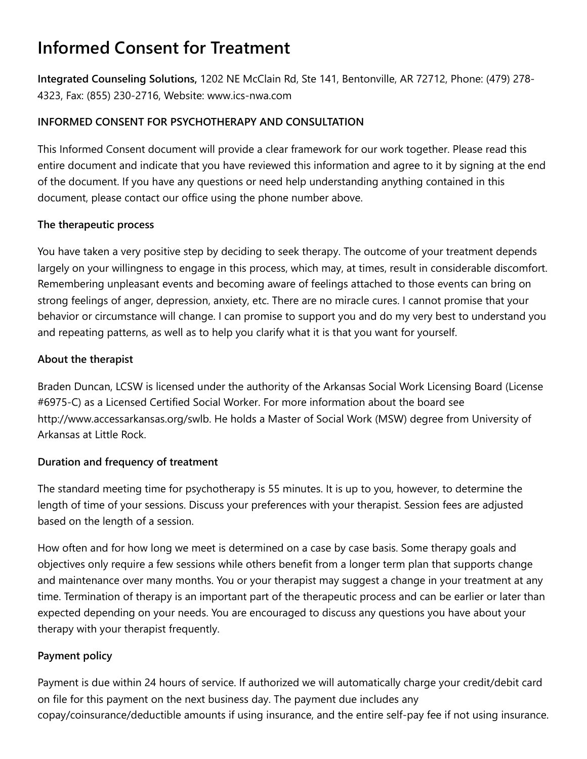# **Informed Consent for Treatment**

**Integrated Counseling Solutions,** 1202 NE McClain Rd, Ste 141, Bentonville, AR 72712, Phone: (479) 278- 4323, Fax: (855) 230-2716, Website: www.ics-nwa.com

## **INFORMED CONSENT FOR PSYCHOTHERAPY AND CONSULTATION**

This Informed Consent document will provide a clear framework for our work together. Please read this entire document and indicate that you have reviewed this information and agree to it by signing at the end of the document. If you have any questions or need help understanding anything contained in this document, please contact our office using the phone number above.

## **The therapeutic process**

You have taken a very positive step by deciding to seek therapy. The outcome of your treatment depends largely on your willingness to engage in this process, which may, at times, result in considerable discomfort. Remembering unpleasant events and becoming aware of feelings attached to those events can bring on strong feelings of anger, depression, anxiety, etc. There are no miracle cures. I cannot promise that your behavior or circumstance will change. I can promise to support you and do my very best to understand you and repeating patterns, as well as to help you clarify what it is that you want for yourself.

## **About the therapist**

Braden Duncan, LCSW is licensed under the authority of the Arkansas Social Work Licensing Board (License #6975-C) as a Licensed Certified Social Worker. For more information about the board see http://www.accessarkansas.org/swlb. He holds a Master of Social Work (MSW) degree from University of Arkansas at Little Rock.

#### **Duration and frequency of treatment**

The standard meeting time for psychotherapy is 55 minutes. It is up to you, however, to determine the length of time of your sessions. Discuss your preferences with your therapist. Session fees are adjusted based on the length of a session.

How often and for how long we meet is determined on a case by case basis. Some therapy goals and objectives only require a few sessions while others benefit from a longer term plan that supports change and maintenance over many months. You or your therapist may suggest a change in your treatment at any time. Termination of therapy is an important part of the therapeutic process and can be earlier or later than expected depending on your needs. You are encouraged to discuss any questions you have about your therapy with your therapist frequently.

## **Payment policy**

Payment is due within 24 hours of service. If authorized we will automatically charge your credit/debit card on file for this payment on the next business day. The payment due includes any copay/coinsurance/deductible amounts if using insurance, and the entire self-pay fee if not using insurance.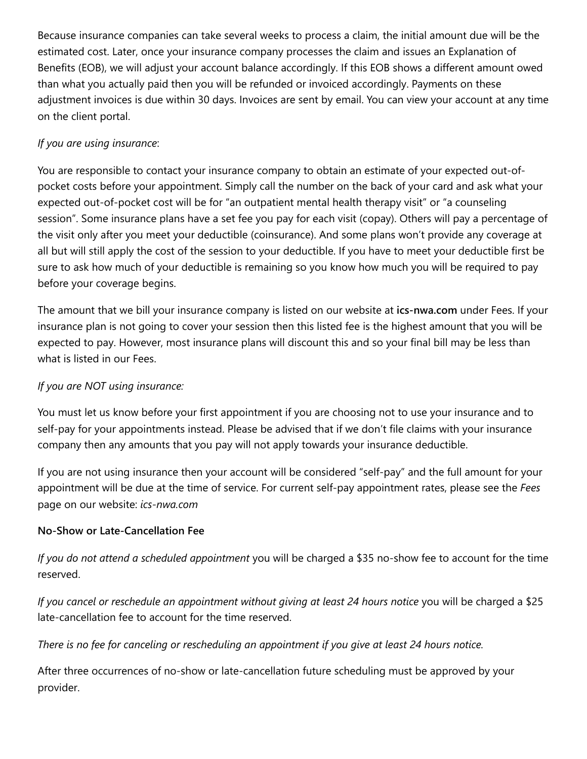Because insurance companies can take several weeks to process a claim, the initial amount due will be the estimated cost. Later, once your insurance company processes the claim and issues an Explanation of Benefits (EOB), we will adjust your account balance accordingly. If this EOB shows a different amount owed than what you actually paid then you will be refunded or invoiced accordingly. Payments on these adjustment invoices is due within 30 days. Invoices are sent by email. You can view your account at any time on the client portal.

# *If you are using insurance*:

You are responsible to contact your insurance company to obtain an estimate of your expected out-ofpocket costs before your appointment. Simply call the number on the back of your card and ask what your expected out-of-pocket cost will be for "an outpatient mental health therapy visit" or "a counseling session". Some insurance plans have a set fee you pay for each visit (copay). Others will pay a percentage of the visit only after you meet your deductible (coinsurance). And some plans won't provide any coverage at all but will still apply the cost of the session to your deductible. If you have to meet your deductible first be sure to ask how much of your deductible is remaining so you know how much you will be required to pay before your coverage begins.

The amount that we bill your insurance company is listed on our website at **ics-nwa.com** under Fees. If your insurance plan is not going to cover your session then this listed fee is the highest amount that you will be expected to pay. However, most insurance plans will discount this and so your final bill may be less than what is listed in our Fees.

# *If you are NOT using insurance:*

You must let us know before your first appointment if you are choosing not to use your insurance and to self-pay for your appointments instead. Please be advised that if we don't file claims with your insurance company then any amounts that you pay will not apply towards your insurance deductible.

If you are not using insurance then your account will be considered "self-pay" and the full amount for your appointment will be due at the time of service. For current self-pay appointment rates, please see the *Fees* page on our website: *ics-nwa.com*

## **No-Show or Late-Cancellation Fee**

*If you do not attend a scheduled appointment* you will be charged a \$35 no-show fee to account for the time reserved.

*If you cancel or reschedule an appointment without giving at least 24 hours notice* you will be charged a \$25 late-cancellation fee to account for the time reserved.

*There is no fee for canceling or rescheduling an appointment if you give at least 24 hours notice.*

After three occurrences of no-show or late-cancellation future scheduling must be approved by your provider.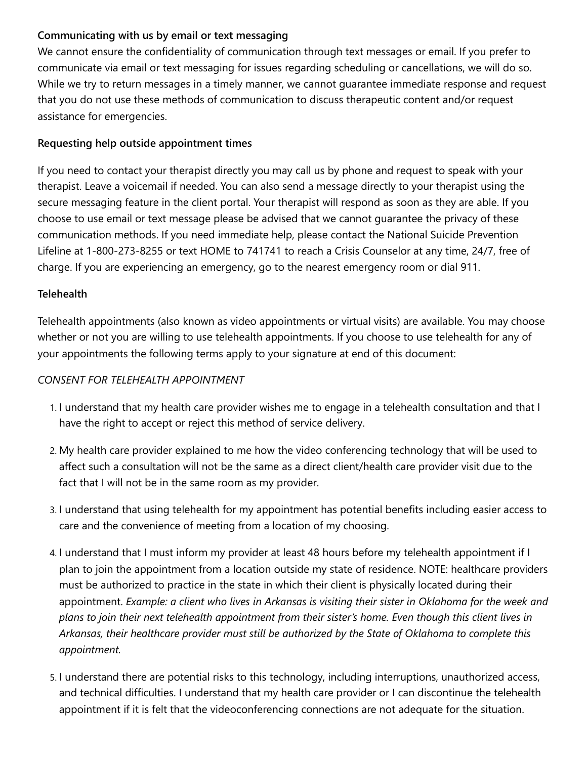# **Communicating with us by email or text messaging**

We cannot ensure the confidentiality of communication through text messages or email. If you prefer to communicate via email or text messaging for issues regarding scheduling or cancellations, we will do so. While we try to return messages in a timely manner, we cannot guarantee immediate response and request that you do not use these methods of communication to discuss therapeutic content and/or request assistance for emergencies.

## **Requesting help outside appointment times**

If you need to contact your therapist directly you may call us by phone and request to speak with your therapist. Leave a voicemail if needed. You can also send a message directly to your therapist using the secure messaging feature in the client portal. Your therapist will respond as soon as they are able. If you choose to use email or text message please be advised that we cannot guarantee the privacy of these communication methods. If you need immediate help, please contact the National Suicide Prevention Lifeline at 1-800-273-8255 or text HOME to 741741 to reach a Crisis Counselor at any time, 24/7, free of charge. If you are experiencing an emergency, go to the nearest emergency room or dial 911.

# **Telehealth**

Telehealth appointments (also known as video appointments or virtual visits) are available. You may choose whether or not you are willing to use telehealth appointments. If you choose to use telehealth for any of your appointments the following terms apply to your signature at end of this document:

# *CONSENT FOR TELEHEALTH APPOINTMENT*

- 1. I understand that my health care provider wishes me to engage in a telehealth consultation and that I have the right to accept or reject this method of service delivery.
- 2. My health care provider explained to me how the video conferencing technology that will be used to affect such a consultation will not be the same as a direct client/health care provider visit due to the fact that I will not be in the same room as my provider.
- 3. I understand that using telehealth for my appointment has potential benefits including easier access to care and the convenience of meeting from a location of my choosing.
- 4. I understand that I must inform my provider at least 48 hours before my telehealth appointment if I plan to join the appointment from a location outside my state of residence. NOTE: healthcare providers must be authorized to practice in the state in which their client is physically located during their appointment. *Example: a client who lives in Arkansas is visiting their sister in Oklahoma for the week and plans to join their next telehealth appointment from their sister's home. Even though this client lives in Arkansas, their healthcare provider must still be authorized by the State of Oklahoma to complete this appointment.*
- 5. I understand there are potential risks to this technology, including interruptions, unauthorized access, and technical difficulties. I understand that my health care provider or I can discontinue the telehealth appointment if it is felt that the videoconferencing connections are not adequate for the situation.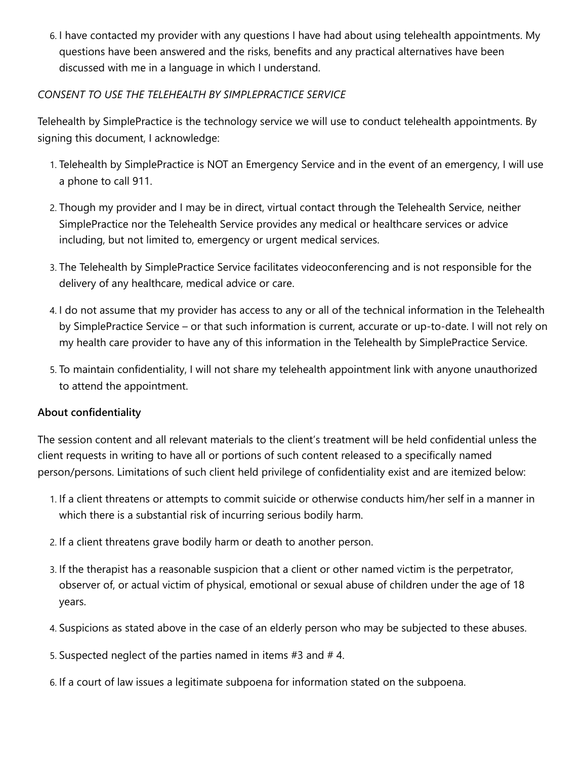6. I have contacted my provider with any questions I have had about using telehealth appointments. My questions have been answered and the risks, benefits and any practical alternatives have been discussed with me in a language in which I understand.

#### *CONSENT TO USE THE TELEHEALTH BY SIMPLEPRACTICE SERVICE*

Telehealth by SimplePractice is the technology service we will use to conduct telehealth appointments. By signing this document, I acknowledge:

- 1. Telehealth by SimplePractice is NOT an Emergency Service and in the event of an emergency, I will use a phone to call 911.
- 2. Though my provider and I may be in direct, virtual contact through the Telehealth Service, neither SimplePractice nor the Telehealth Service provides any medical or healthcare services or advice including, but not limited to, emergency or urgent medical services.
- 3. The Telehealth by SimplePractice Service facilitates videoconferencing and is not responsible for the delivery of any healthcare, medical advice or care.
- 4. I do not assume that my provider has access to any or all of the technical information in the Telehealth by SimplePractice Service – or that such information is current, accurate or up-to-date. I will not rely on my health care provider to have any of this information in the Telehealth by SimplePractice Service.
- 5. To maintain confidentiality, I will not share my telehealth appointment link with anyone unauthorized to attend the appointment.

#### **About confidentiality**

The session content and all relevant materials to the client's treatment will be held confidential unless the client requests in writing to have all or portions of such content released to a specifically named person/persons. Limitations of such client held privilege of confidentiality exist and are itemized below:

- 1. If a client threatens or attempts to commit suicide or otherwise conducts him/her self in a manner in which there is a substantial risk of incurring serious bodily harm.
- 2. If a client threatens grave bodily harm or death to another person.
- 3. If the therapist has a reasonable suspicion that a client or other named victim is the perpetrator, observer of, or actual victim of physical, emotional or sexual abuse of children under the age of 18 years.
- 4. Suspicions as stated above in the case of an elderly person who may be subjected to these abuses.
- 5. Suspected neglect of the parties named in items #3 and # 4.
- 6. If a court of law issues a legitimate subpoena for information stated on the subpoena.